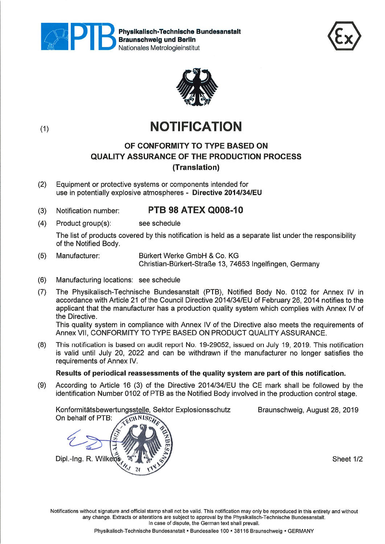

Physlkalisch-Technlsche Bundesanstalt Braunschwelg und Berlin Nationales Metrologieinstitut





## (1) **NOTIFICATION**

## OF CONFORMITY TO TYPE BASED ON QUALITY ASSURANCE OF THE PRODUCTION PROCESS (Translation)

(2) Equipment or protective Systems or components intended for use in potentially explosive atmospheres - Directive 2014/34/EU

## (3) Notification number: PTB 98 ATEX Q008-10

(4) Product group(s): see schedule

The list of products covered by this notification is held äs a separate list under the responsibility of the Notified Body.

- (5) Manufacturer: Bürkert Werke GmbH & Co. KG Christian-Bürkert-Straße 13, 74653 Ingelfingen, Germany
- (6) Manufacturing locations: see schedule
- (7) The Physikalisch-Technische Bundesanstalt (PTB), Notified Body No. 0102 for Annex IV in accordance with Article 21 of the Council Directive 2014/34/EU of February 26, 2014 notifies to the applicant that the manufacturer has a production quality System which complies with Annex IV of the Directive.

This quality system in compliance with Annex IV of the Directive also meets the requirements of Annex VII, CONFORMITY TO TYPE BASED ON PRODUCT QUALITY ASSURANCE.

(8) This notification is based on audit report No. 19-29052, issued on July 19, 2019. This notification is valid until July 20, 2022 and can be withdrawn if the manufacturer no longer satisfies the requirements of Annex IV.

### Results of periodical reassessments of the quality System are part of this notification.

(9) According to Article 16 (3) of the Directive 2014/34/EU the CE mark shall be followed by the identification Number 0102 of PTB as the Notified Body involved in the production control stage.

Konformitätsbewertungsstelje, Sektor Explosionsschutz Braunschweig, August 28, 2019 On behalf of PTB:



Notifications without signature and official stamp shall not be valid. This notification may only be reproduced in this entirety and without any change. Extracts or alterations are subject to approval by the Physikalisch-Technische Bundesanstalt. In case of dispute, the German text shall prevail.